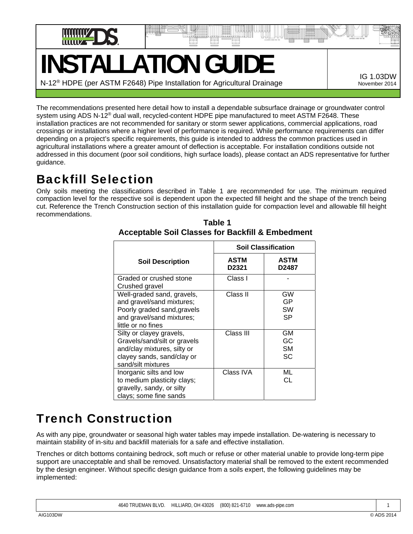

# **INSTALLATION GUIDE**

N-12® HDPE (per ASTM F2648) Pipe Installation for Agricultural Drainage

IG 1.03DW November 2014

The recommendations presented here detail how to install a dependable subsurface drainage or groundwater control system using ADS N-12<sup>®</sup> dual wall, recycled-content HDPE pipe manufactured to meet ASTM F2648. These installation practices are not recommended for sanitary or storm sewer applications, commercial applications, road crossings or installations where a higher level of performance is required. While performance requirements can differ depending on a project's specific requirements, this guide is intended to address the common practices used in agricultural installations where a greater amount of deflection is acceptable. For installation conditions outside not addressed in this document (poor soil conditions, high surface loads), please contact an ADS representative for further guidance.

## Backfill Selection

Only soils meeting the classifications described in Table 1 are recommended for use. The minimum required compaction level for the respective soil is dependent upon the expected fill height and the shape of the trench being cut. Reference the Trench Construction section of this installation guide for compaction level and allowable fill height recommendations.

|                                                                                                                                             | <b>Soil Classification</b> |                             |
|---------------------------------------------------------------------------------------------------------------------------------------------|----------------------------|-----------------------------|
| <b>Soil Description</b>                                                                                                                     | <b>ASTM</b><br>D2321       | ASTM<br>D2487               |
| Graded or crushed stone<br>Crushed gravel                                                                                                   | Class I                    |                             |
| Well-graded sand, gravels,<br>and gravel/sand mixtures;<br>Poorly graded sand, gravels<br>and gravel/sand mixtures;<br>little or no fines   | Class II                   | GW<br>GP<br>SW<br>SP        |
| Silty or clayey gravels,<br>Gravels/sand/silt or gravels<br>and/clay mixtures, silty or<br>clayey sands, sand/clay or<br>sand/silt mixtures | Class III                  | GМ<br>GC<br><b>SM</b><br>SC |
| Inorganic silts and low<br>to medium plasticity clays;<br>gravelly, sandy, or silty<br>clays; some fine sands                               | Class IVA                  | ML<br>СL                    |

 **Table 1 Acceptable Soil Classes for Backfill & Embedment** 

# Trench Construction

As with any pipe, groundwater or seasonal high water tables may impede installation. De-watering is necessary to maintain stability of in-situ and backfill materials for a safe and effective installation.

Trenches or ditch bottoms containing bedrock, soft much or refuse or other material unable to provide long-term pipe support are unacceptable and shall be removed. Unsatisfactory material shall be removed to the extent recommended by the design engineer. Without specific design guidance from a soils expert, the following guidelines may be implemented: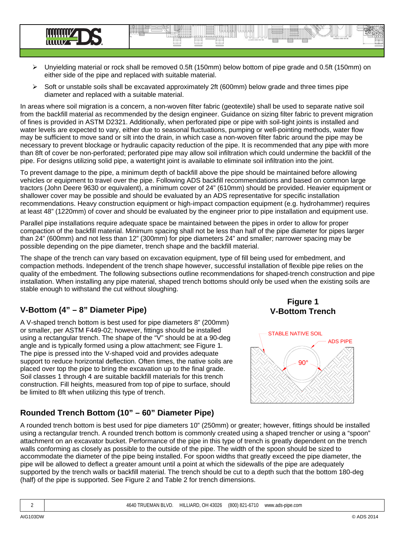

 $\triangleright$  Soft or unstable soils shall be excavated approximately 2ft (600mm) below grade and three times pipe diameter and replaced with a suitable material.

In areas where soil migration is a concern, a non-woven filter fabric (geotextile) shall be used to separate native soil from the backfill material as recommended by the design engineer. Guidance on sizing filter fabric to prevent migration of fines is provided in ASTM D2321. Additionally, when perforated pipe or pipe with soil-tight joints is installed and water levels are expected to vary, either due to seasonal fluctuations, pumping or well-pointing methods, water flow may be sufficient to move sand or silt into the drain, in which case a non-woven filter fabric around the pipe may be necessary to prevent blockage or hydraulic capacity reduction of the pipe. It is recommended that any pipe with more than 8ft of cover be non-perforated; perforated pipe may allow soil infiltration which could undermine the backfill of the pipe. For designs utilizing solid pipe, a watertight joint is available to eliminate soil infiltration into the joint.

To prevent damage to the pipe, a minimum depth of backfill above the pipe should be maintained before allowing vehicles or equipment to travel over the pipe. Following ADS backfill recommendations and based on common large tractors (John Deere 9630 or equivalent), a minimum cover of 24" (610mm) should be provided. Heavier equipment or shallower cover may be possible and should be evaluated by an ADS representative for specific installation recommendations. Heavy construction equipment or high-impact compaction equipment (e.g. hydrohammer) requires at least 48" (1220mm) of cover and should be evaluated by the engineer prior to pipe installation and equipment use.

Parallel pipe installations require adequate space be maintained between the pipes in order to allow for proper compaction of the backfill material. Minimum spacing shall not be less than half of the pipe diameter for pipes larger than 24" (600mm) and not less than 12" (300mm) for pipe diameters 24" and smaller; narrower spacing may be possible depending on the pipe diameter, trench shape and the backfill material.

The shape of the trench can vary based on excavation equipment, type of fill being used for embedment, and compaction methods. Independent of the trench shape however, successful installation of flexible pipe relies on the quality of the embedment. The following subsections outline recommendations for shaped-trench construction and pipe installation. When installing any pipe material, shaped trench bottoms should only be used when the existing soils are stable enough to withstand the cut without sloughing.

### **V-Bottom (4" – 8" Diameter Pipe)**

A V-shaped trench bottom is best used for pipe diameters 8" (200mm) or smaller, per ASTM F449-02; however, fittings should be installed using a rectangular trench. The shape of the "V" should be at a 90-deg angle and is typically formed using a plow attachment; see Figure 1. The pipe is pressed into the V-shaped void and provides adequate support to reduce horizontal deflection. Often times, the native soils are placed over top the pipe to bring the excavation up to the final grade. Soil classes 1 through 4 are suitable backfill materials for this trench construction. Fill heights, measured from top of pipe to surface, should be limited to 8ft when utilizing this type of trench.

### **Rounded Trench Bottom (10" – 60" Diameter Pipe)**

**Figure 1 V-Bottom Trench**



A rounded trench bottom is best used for pipe diameters 10" (250mm) or greater; however, fittings should be installed using a rectangular trench. A rounded trench bottom is commonly created using a shaped trencher or using a "spoon" attachment on an excavator bucket. Performance of the pipe in this type of trench is greatly dependent on the trench walls conforming as closely as possible to the outside of the pipe. The width of the spoon should be sized to accommodate the diameter of the pipe being installed. For spoon widths that greatly exceed the pipe diameter, the pipe will be allowed to deflect a greater amount until a point at which the sidewalls of the pipe are adequately supported by the trench walls or backfill material. The trench should be cut to a depth such that the bottom 180-deg (half) of the pipe is supported. See Figure 2 and Table 2 for trench dimensions.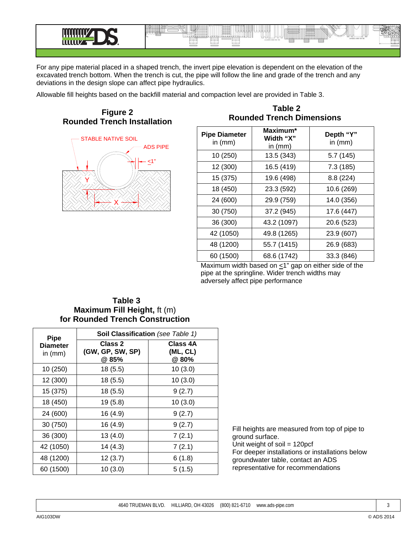

For any pipe material placed in a shaped trench, the invert pipe elevation is dependent on the elevation of the excavated trench bottom. When the trench is cut, the pipe will follow the line and grade of the trench and any deviations in the design slope can affect pipe hydraulics.

Allowable fill heights based on the backfill material and compaction level are provided in Table 3.





### **Table 2 Rounded Trench Dimensions**

| <b>Pipe Diameter</b><br>in $(mm)$ | Maximum*<br>Width "X"<br>in $(mm)$ | Depth "Y"<br>in $(mm)$ |  |
|-----------------------------------|------------------------------------|------------------------|--|
| 10 (250)                          | 13.5 (343)                         | 5.7 (145)              |  |
| 12 (300)                          | 16.5 (419)                         | 7.3 (185)              |  |
| 15 (375)                          | 19.6 (498)                         | 8.8 (224)              |  |
| 18 (450)                          | 23.3 (592)                         | 10.6 (269)             |  |
| 24 (600)                          | 29.9 (759)                         | 14.0 (356)             |  |
| 30 (750)                          | 37.2 (945)                         | 17.6 (447)             |  |
| 36 (300)                          | 43.2 (1097)                        | 20.6 (523)             |  |
| 42 (1050)                         | 49.8 (1265)                        | 23.9 (607)             |  |
| 48 (1200)                         | 55.7 (1415)                        | 26.9 (683)             |  |
| 60 (1500)                         | 68.6 (1742)                        | 33.3 (846)             |  |

Maximum width based on  $\leq$ 1" gap on either side of the pipe at the springline. Wider trench widths may adversely affect pipe performance

### **Table 3 Maximum Fill Height,** ft (m) **for Rounded Trench Construction**

| <b>Pipe</b>                  | Soil Classification (see Table 1)    |                              |  |
|------------------------------|--------------------------------------|------------------------------|--|
| <b>Diameter</b><br>in $(mm)$ | Class 2<br>(GW, GP, SW, SP)<br>@ 85% | Class 4A<br>(ML, CL)<br>@80% |  |
| 10 (250)                     | 18(5.5)                              | 10(3.0)                      |  |
| 12 (300)                     | 18 (5.5)                             | 10(3.0)                      |  |
| 15 (375)                     | 18(5.5)                              | 9(2.7)                       |  |
| 18 (450)                     | 19(5.8)                              | 10(3.0)                      |  |
| 24 (600)                     | 16 (4.9)                             | 9(2.7)                       |  |
| 30 (750)                     | 16 (4.9)                             | 9(2.7)                       |  |
| 36 (300)                     | 13 (4.0)                             | 7(2.1)                       |  |
| 42 (1050)                    | 14 (4.3)                             | 7(2.1)                       |  |
| 48 (1200)                    | 12(3.7)                              | 6(1.8)                       |  |
| 60 (1500)                    | 10(3.0)                              | 5(1.5)                       |  |

Fill heights are measured from top of pipe to ground surface. Unit weight of soil = 120pcf For deeper installations or installations below

groundwater table, contact an ADS representative for recommendations